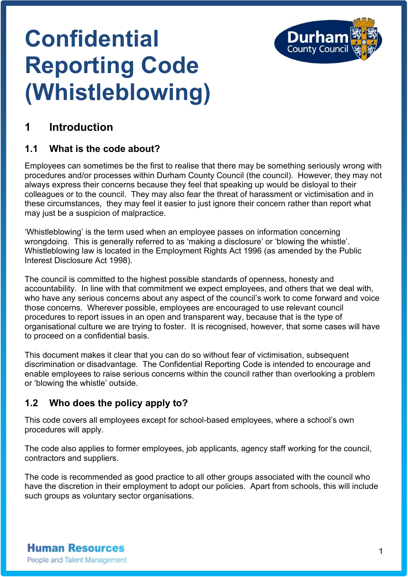

# **Confidential Reporting Code (Whistleblowing)**

## **1 Introduction**

### **1.1 What is the code about?**

Employees can sometimes be the first to realise that there may be something seriously wrong with procedures and/or processes within Durham County Council (the council). However, they may not always express their concerns because they feel that speaking up would be disloyal to their colleagues or to the council. They may also fear the threat of harassment or victimisation and in these circumstances, they may feel it easier to just ignore their concern rather than report what may just be a suspicion of malpractice.

'Whistleblowing' is the term used when an employee passes on information concerning wrongdoing. This is generally referred to as 'making a disclosure' or 'blowing the whistle'. Whistleblowing law is located in the Employment Rights Act 1996 (as amended by the Public Interest Disclosure Act 1998).

The council is committed to the highest possible standards of openness, honesty and accountability. In line with that commitment we expect employees, and others that we deal with, who have any serious concerns about any aspect of the council's work to come forward and voice those concerns. Wherever possible, employees are encouraged to use relevant council procedures to report issues in an open and transparent way, because that is the type of organisational culture we are trying to foster. It is recognised, however, that some cases will have to proceed on a confidential basis.

This document makes it clear that you can do so without fear of victimisation, subsequent discrimination or disadvantage. The Confidential Reporting Code is intended to encourage and enable employees to raise serious concerns within the council rather than overlooking a problem or 'blowing the whistle' outside.

#### **1.2 Who does the policy apply to?**

This code covers all employees except for school-based employees, where a school's own procedures will apply.

The code also applies to former employees, job applicants, agency staff working for the council, contractors and suppliers.

The code is recommended as good practice to all other groups associated with the council who have the discretion in their employment to adopt our policies. Apart from schools, this will include such groups as voluntary sector organisations.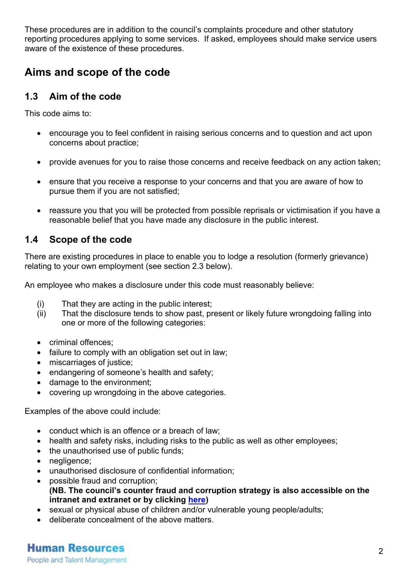These procedures are in addition to the council's complaints procedure and other statutory reporting procedures applying to some services. If asked, employees should make service users aware of the existence of these procedures.

## **Aims and scope of the code**

#### **1.3 Aim of the code**

This code aims to:

- encourage you to feel confident in raising serious concerns and to question and act upon concerns about practice;
- provide avenues for you to raise those concerns and receive feedback on any action taken;
- ensure that you receive a response to your concerns and that you are aware of how to pursue them if you are not satisfied;
- reassure you that you will be protected from possible reprisals or victimisation if you have a reasonable belief that you have made any disclosure in the public interest.

#### **1.4 Scope of the code**

There are existing procedures in place to enable you to lodge a resolution (formerly grievance) relating to your own employment (see section 2.3 below).

An employee who makes a disclosure under this code must reasonably believe:

- (i) That they are acting in the public interest;
- (ii) That the disclosure tends to show past, present or likely future wrongdoing falling into one or more of the following categories:
- criminal offences;
- failure to comply with an obligation set out in law;
- miscarriages of justice;
- endangering of someone's health and safety;
- damage to the environment;
- covering up wrongdoing in the above categories.

Examples of the above could include:

- conduct which is an offence or a breach of law;
- health and safety risks, including risks to the public as well as other employees;
- the unauthorised use of public funds;
- negligence;
- unauthorised disclosure of confidential information;
- possible fraud and corruption; **(NB. The council's counter fraud and corruption strategy is also accessible on the intranet and extranet or by clicking [here\)](http://intranet/Lists/PolicyExportLotusNotes/Attachments/1701/Counter_Fraud_And_Corruption_Strategy.pdf)**
- sexual or physical abuse of children and/or vulnerable young people/adults;
- deliberate concealment of the above matters.

**Human Resources** 

People and Talent Management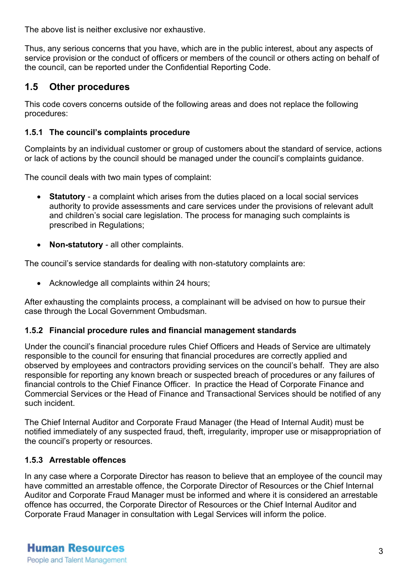The above list is neither exclusive nor exhaustive.

Thus, any serious concerns that you have, which are in the public interest, about any aspects of service provision or the conduct of officers or members of the council or others acting on behalf of the council, can be reported under the Confidential Reporting Code.

#### **1.5 Other procedures**

This code covers concerns outside of the following areas and does not replace the following procedures:

#### **1.5.1 The council's complaints procedure**

Complaints by an individual customer or group of customers about the standard of service, actions or lack of actions by the council should be managed under the council's complaints guidance.

The council deals with two main types of complaint:

- **Statutory**  a complaint which arises from the duties placed on a local social services authority to provide assessments and care services under the provisions of relevant adult and children's social care legislation. The process for managing such complaints is prescribed in Regulations;
- **Non-statutory** all other complaints.

The council's service standards for dealing with non-statutory complaints are:

• Acknowledge all complaints within 24 hours;

After exhausting the complaints process, a complainant will be advised on how to pursue their case through the Local Government Ombudsman.

#### **1.5.2 Financial procedure rules and financial management standards**

Under the council's financial procedure rules Chief Officers and Heads of Service are ultimately responsible to the council for ensuring that financial procedures are correctly applied and observed by employees and contractors providing services on the council's behalf. They are also responsible for reporting any known breach or suspected breach of procedures or any failures of financial controls to the Chief Finance Officer. In practice the Head of Corporate Finance and Commercial Services or the Head of Finance and Transactional Services should be notified of any such incident.

The Chief Internal Auditor and Corporate Fraud Manager (the Head of Internal Audit) must be notified immediately of any suspected fraud, theft, irregularity, improper use or misappropriation of the council's property or resources.

#### **1.5.3 Arrestable offences**

In any case where a Corporate Director has reason to believe that an employee of the council may have committed an arrestable offence, the Corporate Director of Resources or the Chief Internal Auditor and Corporate Fraud Manager must be informed and where it is considered an arrestable offence has occurred, the Corporate Director of Resources or the Chief Internal Auditor and Corporate Fraud Manager in consultation with Legal Services will inform the police.

**Human Resources** People and Talent Management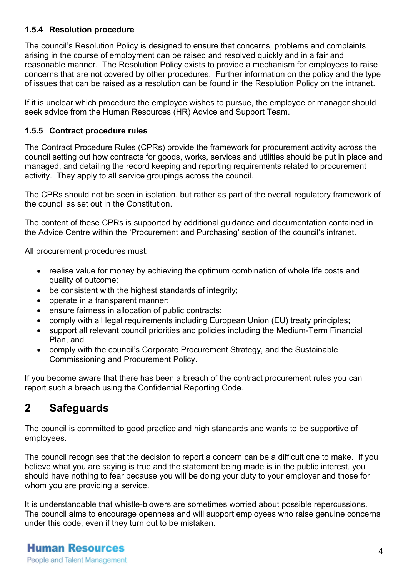#### **1.5.4 Resolution procedure**

The council's Resolution Policy is designed to ensure that concerns, problems and complaints arising in the course of employment can be raised and resolved quickly and in a fair and reasonable manner. The Resolution Policy exists to provide a mechanism for employees to raise concerns that are not covered by other procedures. Further information on the policy and the type of issues that can be raised as a resolution can be found in the Resolution Policy on the intranet.

If it is unclear which procedure the employee wishes to pursue, the employee or manager should seek advice from the Human Resources (HR) Advice and Support Team.

#### **1.5.5 Contract procedure rules**

The Contract Procedure Rules (CPRs) provide the framework for procurement activity across the council setting out how contracts for goods, works, services and utilities should be put in place and managed, and detailing the record keeping and reporting requirements related to procurement activity. They apply to all service groupings across the council.

The CPRs should not be seen in isolation, but rather as part of the overall regulatory framework of the council as set out in the Constitution.

The content of these CPRs is supported by additional guidance and documentation contained in the Advice Centre within the 'Procurement and Purchasing' section of the council's intranet.

All procurement procedures must:

- realise value for money by achieving the optimum combination of whole life costs and quality of outcome;
- be consistent with the highest standards of integrity;
- operate in a transparent manner;
- ensure fairness in allocation of public contracts;
- comply with all legal requirements including European Union (EU) treaty principles;
- support all relevant council priorities and policies including the Medium-Term Financial Plan, and
- comply with the council's Corporate Procurement Strategy, and the Sustainable Commissioning and Procurement Policy.

If you become aware that there has been a breach of the contract procurement rules you can report such a breach using the Confidential Reporting Code.

## **2 Safeguards**

The council is committed to good practice and high standards and wants to be supportive of employees.

The council recognises that the decision to report a concern can be a difficult one to make. If you believe what you are saying is true and the statement being made is in the public interest, you should have nothing to fear because you will be doing your duty to your employer and those for whom you are providing a service.

It is understandable that whistle-blowers are sometimes worried about possible repercussions. The council aims to encourage openness and will support employees who raise genuine concerns under this code, even if they turn out to be mistaken.

#### **Human Resources** People and Talent Management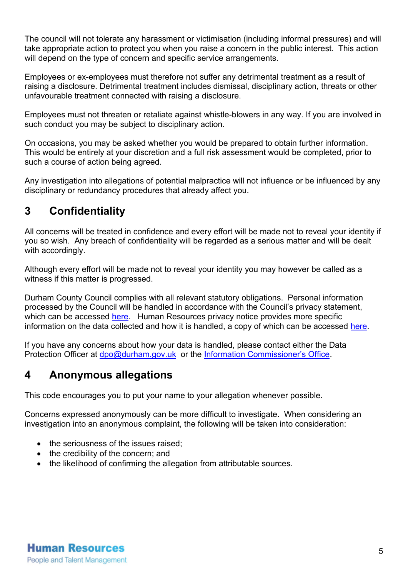The council will not tolerate any harassment or victimisation (including informal pressures) and will take appropriate action to protect you when you raise a concern in the public interest. This action will depend on the type of concern and specific service arrangements.

Employees or ex-employees must therefore not suffer any detrimental treatment as a result of raising a disclosure. Detrimental treatment includes dismissal, disciplinary action, threats or other unfavourable treatment connected with raising a disclosure.

Employees must not threaten or retaliate against whistle-blowers in any way. If you are involved in such conduct you may be subject to disciplinary action.

On occasions, you may be asked whether you would be prepared to obtain further information. This would be entirely at your discretion and a full risk assessment would be completed, prior to such a course of action being agreed.

Any investigation into allegations of potential malpractice will not influence or be influenced by any disciplinary or redundancy procedures that already affect you.

## **3 Confidentiality**

All concerns will be treated in confidence and every effort will be made not to reveal your identity if you so wish. Any breach of confidentiality will be regarded as a serious matter and will be dealt with accordingly.

Although every effort will be made not to reveal your identity you may however be called as a witness if this matter is progressed.

Durham County Council complies with all relevant statutory obligations. Personal information processed by the Council will be handled in accordance with the Council's privacy statement, which can be accessed [here.](http://www.durham.gov.uk/dataprivacy) Human Resources privacy notice provides more specific information on the data collected and how it is handled, a copy of which can be accessed [here.](http://intranet.durham.gov.uk/SiteAssets/Pages/HRpolicies/Human%20Resources%20-%20Privacy%20Notice.pdf)

If you have any concerns about how your data is handled, please contact either the Data Protection Officer at [dpo@durham.gov.uk](mailto:dpo@durham.gov.uk) or the [Information Commissioner's Office.](https://ico.org.uk/)

## **4 Anonymous allegations**

This code encourages you to put your name to your allegation whenever possible.

Concerns expressed anonymously can be more difficult to investigate. When considering an investigation into an anonymous complaint, the following will be taken into consideration:

- the seriousness of the issues raised:
- the credibility of the concern; and
- the likelihood of confirming the allegation from attributable sources.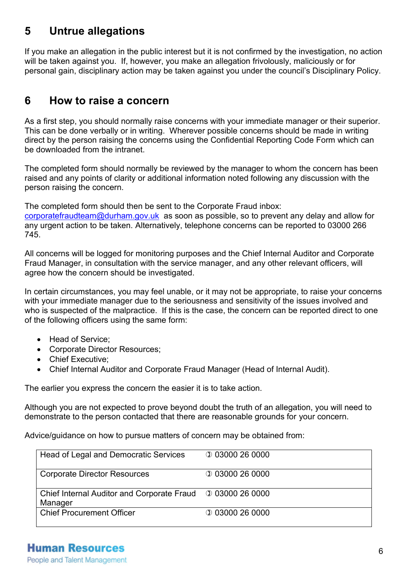## **5 Untrue allegations**

If you make an allegation in the public interest but it is not confirmed by the investigation, no action will be taken against you. If, however, you make an allegation frivolously, maliciously or for personal gain, disciplinary action may be taken against you under the council's Disciplinary Policy.

## **6 How to raise a concern**

As a first step, you should normally raise concerns with your immediate manager or their superior. This can be done verbally or in writing. Wherever possible concerns should be made in writing direct by the person raising the concerns using the Confidential Reporting Code Form which can be downloaded from the intranet.

The completed form should normally be reviewed by the manager to whom the concern has been raised and any points of clarity or additional information noted following any discussion with the person raising the concern.

The completed form should then be sent to the Corporate Fraud inbox: [corporatefraudteam@durham.gov.uk](mailto:corporatefraudteam@durham.gov.uk) as soon as possible, so to prevent any delay and allow for any urgent action to be taken. Alternatively, telephone concerns can be reported to 03000 266 745.

All concerns will be logged for monitoring purposes and the Chief Internal Auditor and Corporate Fraud Manager, in consultation with the service manager, and any other relevant officers, will agree how the concern should be investigated.

In certain circumstances, you may feel unable, or it may not be appropriate, to raise your concerns with your immediate manager due to the seriousness and sensitivity of the issues involved and who is suspected of the malpractice. If this is the case, the concern can be reported direct to one of the following officers using the same form:

- Head of Service:
- Corporate Director Resources;
- Chief Executive:
- Chief Internal Auditor and Corporate Fraud Manager (Head of Internal Audit).

The earlier you express the concern the easier it is to take action.

Although you are not expected to prove beyond doubt the truth of an allegation, you will need to demonstrate to the person contacted that there are reasonable grounds for your concern.

Advice/guidance on how to pursue matters of concern may be obtained from:

| Head of Legal and Democratic Services                                 | $Q$ 03000 26 0000 |
|-----------------------------------------------------------------------|-------------------|
| <b>Corporate Director Resources</b>                                   | $Q$ 03000 26 0000 |
| Chief Internal Auditor and Corporate Fraud 0 03000 26 0000<br>Manager |                   |
| <b>Chief Procurement Officer</b>                                      | $Q$ 03000 26 0000 |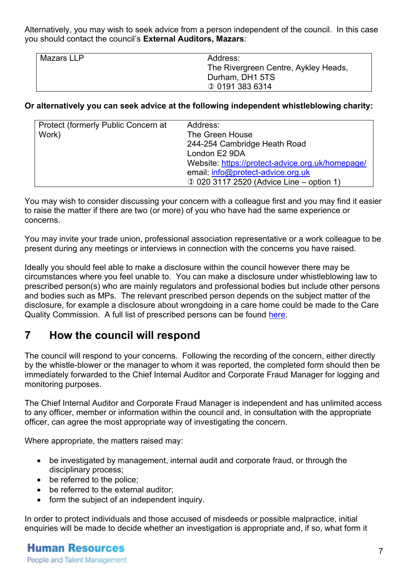Alternatively, you may wish to seek advice from a person independent of the council. In this case you should contact the council's **External Auditors, Mazars**:

| Mazars LLP | Address:                             |
|------------|--------------------------------------|
|            | The Rivergreen Centre, Aykley Heads, |
|            | Durham, DH1 5TS                      |
|            | <b>001913836314</b>                  |

#### **Or alternatively you can seek advice at the following independent whistleblowing charity:**

| Protect (formerly Public Concern at | Address:                                         |
|-------------------------------------|--------------------------------------------------|
| Work)                               | The Green House                                  |
|                                     | 244-254 Cambridge Heath Road                     |
|                                     | London E2 9DA                                    |
|                                     | Website: https://protect-advice.org.uk/homepage/ |
|                                     | email. info@protect-advice.org.uk                |
|                                     | 1 020 3117 2520 (Advice Line – option 1)         |
|                                     |                                                  |

You may wish to consider discussing your concern with a colleague first and you may find it easier to raise the matter if there are two (or more) of you who have had the same experience or concerns.

You may invite your trade union, professional association representative or a work colleague to be present during any meetings or interviews in connection with the concerns you have raised.

Ideally you should feel able to make a disclosure within the council however there may be circumstances where you feel unable to. You can make a disclosure under whistleblowing law to prescribed person(s) who are mainly regulators and professional bodies but include other persons and bodies such as MPs. The relevant prescribed person depends on the subject matter of the disclosure, for example a disclosure about wrongdoing in a care home could be made to the Care Quality Commission. A full list of prescribed persons can be found [here.](https://www.gov.uk/government/uploads/system/uploads/attachment_data/file/404330/bis-15-43-blowing-the-whistle-to-a-prescribed-person-list-of-prescribed.pdf)

## **7 How the council will respond**

The council will respond to your concerns. Following the recording of the concern, either directly by the whistle-blower or the manager to whom it was reported, the completed form should then be immediately forwarded to the Chief Internal Auditor and Corporate Fraud Manager for logging and monitoring purposes.

The Chief Internal Auditor and Corporate Fraud Manager is independent and has unlimited access to any officer, member or information within the council and, in consultation with the appropriate officer, can agree the most appropriate way of investigating the concern.

Where appropriate, the matters raised may:

- be investigated by management, internal audit and corporate fraud, or through the disciplinary process;
- be referred to the police;
- be referred to the external auditor;
- form the subject of an independent inquiry.

In order to protect individuals and those accused of misdeeds or possible malpractice, initial enquiries will be made to decide whether an investigation is appropriate and, if so, what form it

#### **Human Resources** People and Talent Management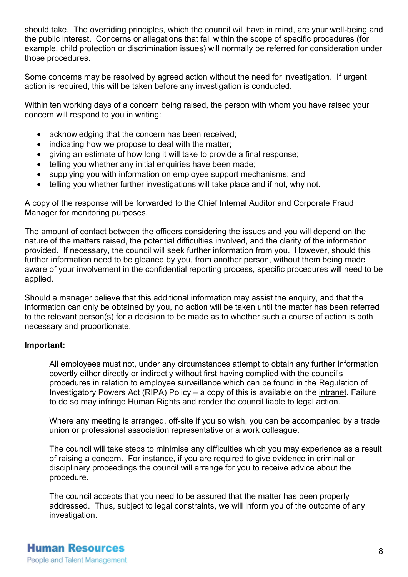should take. The overriding principles, which the council will have in mind, are your well-being and the public interest. Concerns or allegations that fall within the scope of specific procedures (for example, child protection or discrimination issues) will normally be referred for consideration under those procedures.

Some concerns may be resolved by agreed action without the need for investigation. If urgent action is required, this will be taken before any investigation is conducted.

Within ten working days of a concern being raised, the person with whom you have raised your concern will respond to you in writing:

- acknowledging that the concern has been received;
- indicating how we propose to deal with the matter;
- giving an estimate of how long it will take to provide a final response;
- telling you whether any initial enquiries have been made;
- supplying you with information on employee support mechanisms; and
- telling you whether further investigations will take place and if not, why not.

A copy of the response will be forwarded to the Chief Internal Auditor and Corporate Fraud Manager for monitoring purposes.

The amount of contact between the officers considering the issues and you will depend on the nature of the matters raised, the potential difficulties involved, and the clarity of the information provided. If necessary, the council will seek further information from you. However, should this further information need to be gleaned by you, from another person, without them being made aware of your involvement in the confidential reporting process, specific procedures will need to be applied.

Should a manager believe that this additional information may assist the enquiry, and that the information can only be obtained by you, no action will be taken until the matter has been referred to the relevant person(s) for a decision to be made as to whether such a course of action is both necessary and proportionate.

#### **Important:**

All employees must not, under any circumstances attempt to obtain any further information covertly either directly or indirectly without first having complied with the council's procedures in relation to employee surveillance which can be found in the [Regulation of](http://intranet/Pages/PoliciesandProceduresDetails.aspx?ItemId=1024)  [Investigatory Powers Act \(RIPA\) Policy](http://intranet/Pages/PoliciesandProceduresDetails.aspx?ItemId=1024) – a copy of this is available on the [intranet.](http://intranet/Pages/PoliciesandProceduresDetails.aspx?ItemId=1024) Failure to do so may infringe Human Rights and render the council liable to legal action.

Where any meeting is arranged, off-site if you so wish, you can be accompanied by a trade union or professional association representative or a work colleague.

The council will take steps to minimise any difficulties which you may experience as a result of raising a concern. For instance, if you are required to give evidence in criminal or disciplinary proceedings the council will arrange for you to receive advice about the procedure.

The council accepts that you need to be assured that the matter has been properly addressed. Thus, subject to legal constraints, we will inform you of the outcome of any investigation.

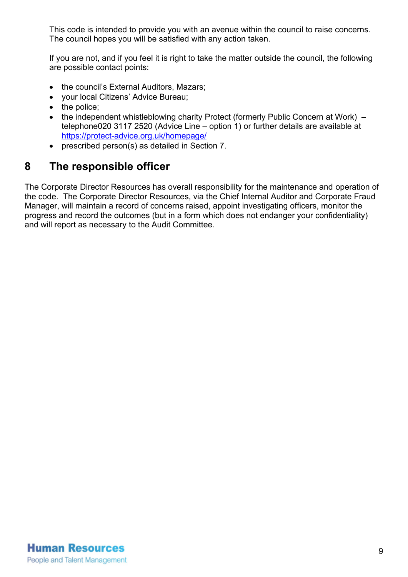This code is intended to provide you with an avenue within the council to raise concerns. The council hopes you will be satisfied with any action taken.

If you are not, and if you feel it is right to take the matter outside the council, the following are possible contact points:

- the council's External Auditors, Mazars;
- your local Citizens' Advice Bureau;
- the police;
- the independent whistleblowing charity Protect (formerly Public Concern at Work) telephone020 3117 2520 (Advice Line – option 1) or further details are available at <https://protect-advice.org.uk/homepage/>
- prescribed person(s) as detailed in Section 7.

## **8 The responsible officer**

The Corporate Director Resources has overall responsibility for the maintenance and operation of the code. The Corporate Director Resources, via the Chief Internal Auditor and Corporate Fraud Manager, will maintain a record of concerns raised, appoint investigating officers, monitor the progress and record the outcomes (but in a form which does not endanger your confidentiality) and will report as necessary to the Audit Committee.